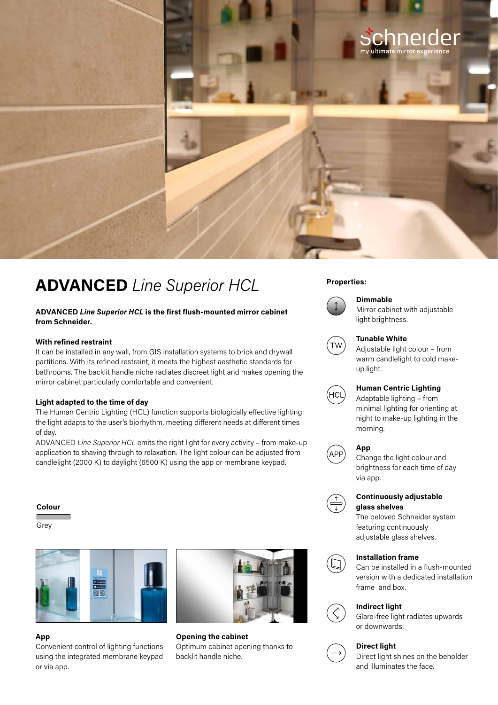

# **Properties: ADVANCED** *Line Superior HCL*

# **ADVANCED** *Line Superior HCL* **is the first flush-mounted mirror cabinet from Schneider.**

#### **With refined restraint**

It can be installed in any wall, from GIS installation systems to brick and drywall partitions. With its refined restraint, it meets the highest aesthetic standards for bathrooms. The backlit handle niche radiates discreet light and makes opening the mirror cabinet particularly comfortable and convenient.

#### **Light adapted to the time of day**

The Human Centric Lighting (HCL) function supports biologically effective lighting: the light adapts to the user's biorhythm, meeting different needs at different times of day.

ADVANCED *Line Superior HCL* emits the right light for every activity – from make-up application to shaving through to relaxation. The light colour can be adjusted from candlelight (2000 K) to daylight (6500 K) using the app or membrane keypad.

#### **Colour**

Grey



# **App**

Convenient control of lighting functions using the integrated membrane keypad or via app.



**Opening the cabinet** Optimum cabinet opening thanks to backlit handle niche.



# **Dimmable**

Mirror cabinet with adjustable light brightness.



### **Tunable White**

Adjustable light colour – from warm candlelight to cold makeup light.



# **Human Centric Lighting**

Adaptable lighting – from minimal lighting for orienting at night to make-up lighting in the morning.

#### **App**



Change the light colour and brightness for each time of day via app.



### **Continuously adjustable glass shelves**

The beloved Schneider system featuring continuously adjustable glass shelves.



#### **Installation frame**

Can be installed in a flush-mounted version with a dedicated installation frame and box.



# **Indirect light**

Glare-free light radiates upwards or downwards.



# **Direct light**

Direct light shines on the beholder and illuminates the face.